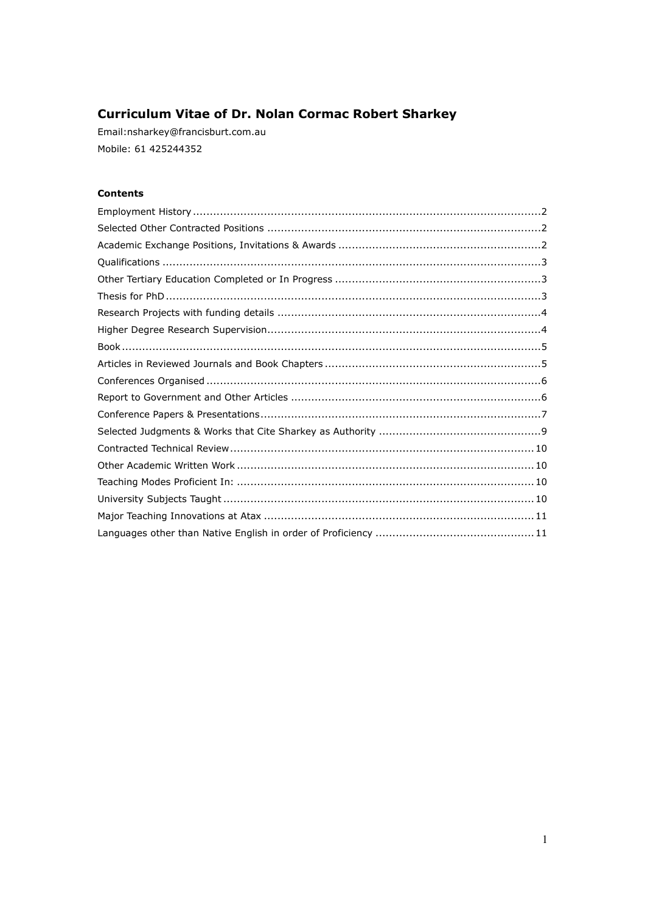# **Curriculum Vitae of Dr. Nolan Cormac Robert Sharkey**

Email:nsharkey@francisburt.com.au Mobile: 61 425244352

# **Contents**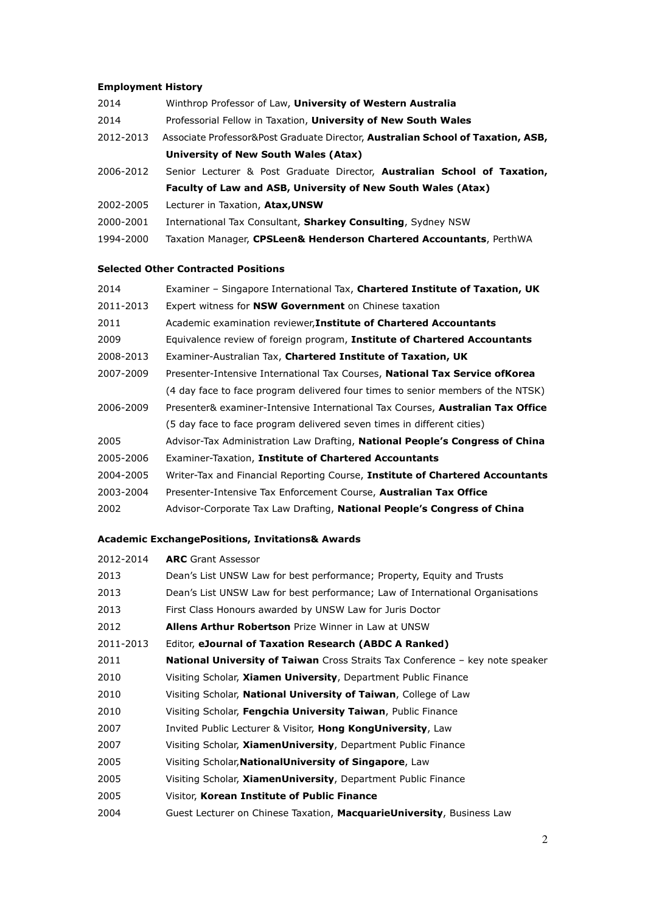# **Employment History**

- 2014 Winthrop Professor of Law, **University of Western Australia**
- 2014 Professorial Fellow in Taxation, **University of New South Wales**
- 2012-2013 Associate Professor&Post Graduate Director, **Australian School of Taxation, ASB, University of New South Wales (Atax)**
- 2006-2012 Senior Lecturer & Post Graduate Director, **Australian School of Taxation, Faculty of Law and ASB, University of New South Wales (Atax)**
- 2002-2005 Lecturer in Taxation, **Atax,UNSW**
- 2000-2001 International Tax Consultant, **Sharkey Consulting**, Sydney NSW
- 1994-2000 Taxation Manager, **CPSLeen& Henderson Chartered Accountants**, PerthWA

# **Selected Other Contracted Positions**

| 2014      | Examiner - Singapore International Tax, Chartered Institute of Taxation, UK         |
|-----------|-------------------------------------------------------------------------------------|
| 2011-2013 | Expert witness for <b>NSW Government</b> on Chinese taxation                        |
| 2011      | Academic examination reviewer, Institute of Chartered Accountants                   |
| 2009      | Equivalence review of foreign program, Institute of Chartered Accountants           |
| 2008-2013 | Examiner-Australian Tax, Chartered Institute of Taxation, UK                        |
| 2007-2009 | Presenter-Intensive International Tax Courses, <b>National Tax Service ofKorea</b>  |
|           | (4 day face to face program delivered four times to senior members of the NTSK)     |
| 2006-2009 | Presenter& examiner-Intensive International Tax Courses, Australian Tax Office      |
|           | (5 day face to face program delivered seven times in different cities)              |
| 2005      | Advisor-Tax Administration Law Drafting, <b>National People's Congress of China</b> |
| 2005-2006 | Examiner-Taxation, Institute of Chartered Accountants                               |
| 2004-2005 | Writer-Tax and Financial Reporting Course, Institute of Chartered Accountants       |
| 2003-2004 | Presenter-Intensive Tax Enforcement Course, <b>Australian Tax Office</b>            |
| 2002      | Advisor-Corporate Tax Law Drafting, National People's Congress of China             |

# **Academic ExchangePositions, Invitations& Awards**

| 2012-2014 | <b>ARC</b> Grant Assessor                                                            |
|-----------|--------------------------------------------------------------------------------------|
| 2013      | Dean's List UNSW Law for best performance; Property, Equity and Trusts               |
| 2013      | Dean's List UNSW Law for best performance; Law of International Organisations        |
| 2013      | First Class Honours awarded by UNSW Law for Juris Doctor                             |
| 2012      | <b>Allens Arthur Robertson</b> Prize Winner in Law at UNSW                           |
| 2011-2013 | Editor, eJournal of Taxation Research (ABDC A Ranked)                                |
| 2011      | <b>National University of Taiwan</b> Cross Straits Tax Conference – key note speaker |
| 2010      | Visiting Scholar, Xiamen University, Department Public Finance                       |
| 2010      | Visiting Scholar, National University of Taiwan, College of Law                      |
| 2010      | Visiting Scholar, Fengchia University Taiwan, Public Finance                         |
| 2007      | Invited Public Lecturer & Visitor, Hong KongUniversity, Law                          |
| 2007      | Visiting Scholar, <b>XiamenUniversity</b> , Department Public Finance                |
| 2005      | Visiting Scholar, NationalUniversity of Singapore, Law                               |
| 2005      | Visiting Scholar, XiamenUniversity, Department Public Finance                        |
| 2005      | Visitor, Korean Institute of Public Finance                                          |
| 2004      | Guest Lecturer on Chinese Taxation, MacquarieUniversity, Business Law                |
|           |                                                                                      |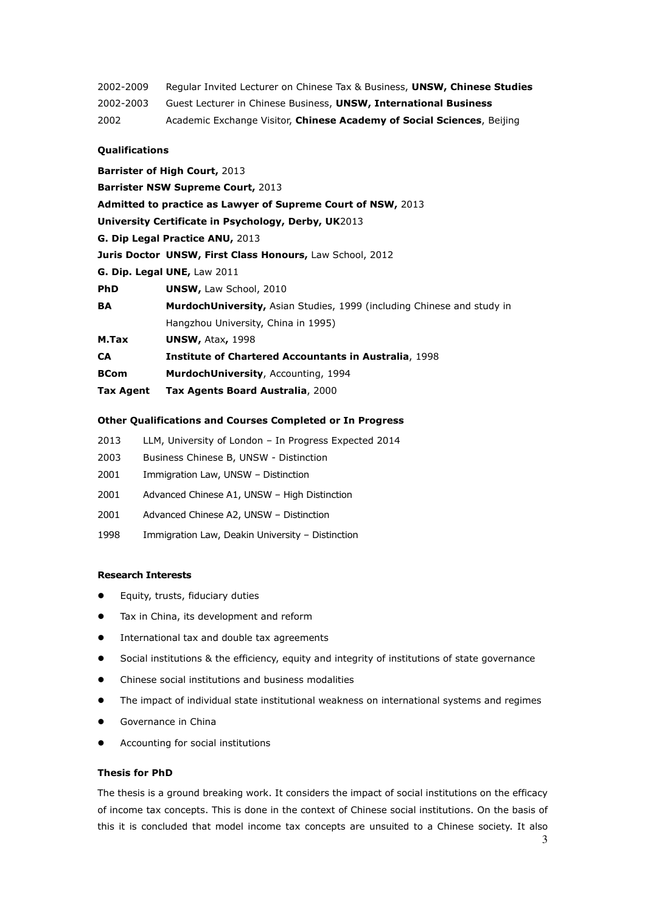- 2002-2009 Regular Invited Lecturer on Chinese Tax & Business, **UNSW, Chinese Studies**
- 2002-2003 Guest Lecturer in Chinese Business, **UNSW, International Business**

2002 Academic Exchange Visitor, **Chinese Academy of Social Sciences**, Beijing

#### **Qualifications**

**Barrister of High Court,** 2013 **Barrister NSW Supreme Court,** 2013 **Admitted to practice as Lawyer of Supreme Court of NSW,** 2013 **University Certificate in Psychology, Derby, UK**2013 **G. Dip Legal Practice ANU,** 2013 **Juris Doctor UNSW, First Class Honours,** Law School, 2012 **G. Dip. Legal UNE,** Law 2011 **PhD UNSW, Law School, 2010 BA MurdochUniversity,** Asian Studies, 1999 (including Chinese and study in Hangzhou University, China in 1995) **M.Tax UNSW,** Atax**,** 1998 **CA Institute of Chartered Accountants in Australia**, 1998 **BCom MurdochUniversity**, Accounting, 1994 **Tax Agent Tax Agents Board Australia**, 2000

# **Other Qualifications and Courses Completed or In Progress**

- 2013 LLM, University of London In Progress Expected 2014
- 2003 Business Chinese B, UNSW Distinction
- 2001 Immigration Law, UNSW Distinction
- 2001 Advanced Chinese A1, UNSW High Distinction
- 2001 Advanced Chinese A2, UNSW Distinction
- 1998 Immigration Law, Deakin University Distinction

# **Research Interests**

- **•** Equity, trusts, fiduciary duties
- **•** Tax in China, its development and reform
- **•** International tax and double tax agreements
- Social institutions & the efficiency, equity and integrity of institutions of state governance
- Chinese social institutions and business modalities
- The impact of individual state institutional weakness on international systems and regimes
- Governance in China
- Accounting for social institutions

#### **Thesis for PhD**

The thesis is a ground breaking work. It considers the impact of social institutions on the efficacy of income tax concepts. This is done in the context of Chinese social institutions. On the basis of this it is concluded that model income tax concepts are unsuited to a Chinese society. It also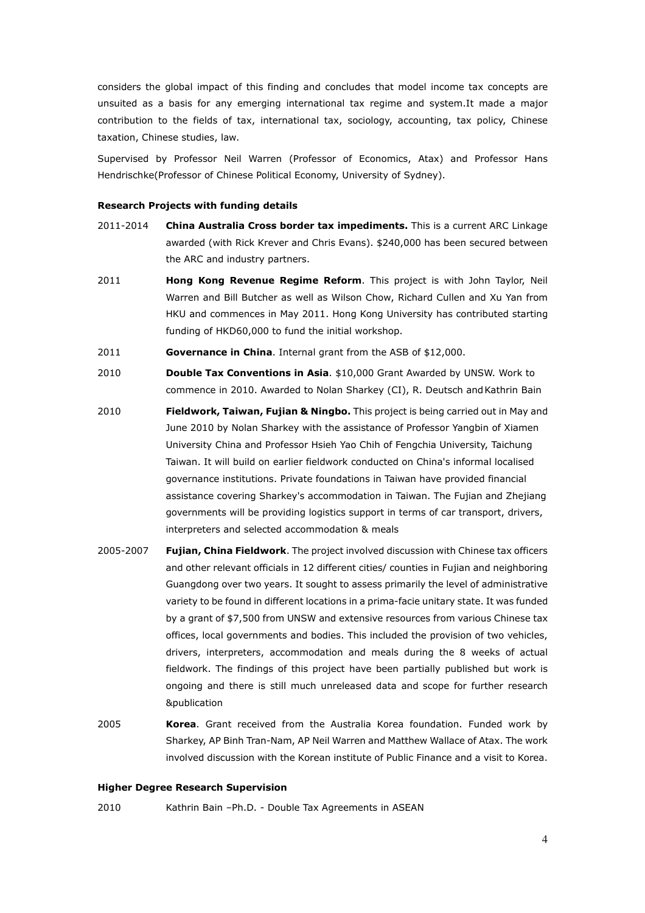considers the global impact of this finding and concludes that model income tax concepts are unsuited as a basis for any emerging international tax regime and system.It made a major contribution to the fields of tax, international tax, sociology, accounting, tax policy, Chinese taxation, Chinese studies, law.

Supervised by Professor Neil Warren (Professor of Economics, Atax) and Professor Hans Hendrischke(Professor of Chinese Political Economy, University of Sydney).

#### **Research Projects with funding details**

- 2011-2014 **China Australia Cross border tax impediments.** This is a current ARC Linkage awarded (with Rick Krever and Chris Evans). \$240,000 has been secured between the ARC and industry partners.
- 2011 **Hong Kong Revenue Regime Reform**. This project is with John Taylor, Neil Warren and Bill Butcher as well as Wilson Chow, Richard Cullen and Xu Yan from HKU and commences in May 2011. Hong Kong University has contributed starting funding of HKD60,000 to fund the initial workshop.
- 2011 **Governance in China**. Internal grant from the ASB of \$12,000.
- 2010 **Double Tax Conventions in Asia**. \$10,000 Grant Awarded by UNSW. Work to commence in 2010. Awarded to Nolan Sharkey (CI), R. Deutsch and Kathrin Bain
- 2010 **Fieldwork, Taiwan, Fujian & Ningbo.** This project is being carried out in May and June 2010 by Nolan Sharkey with the assistance of Professor Yangbin of Xiamen University China and Professor Hsieh Yao Chih of Fengchia University, Taichung Taiwan. It will build on earlier fieldwork conducted on China's informal localised governance institutions. Private foundations in Taiwan have provided financial assistance covering Sharkey's accommodation in Taiwan. The Fujian and Zhejiang governments will be providing logistics support in terms of car transport, drivers, interpreters and selected accommodation & meals
- 2005-2007 **Fujian, China Fieldwork**. The project involved discussion with Chinese tax officers and other relevant officials in 12 different cities/ counties in Fujian and neighboring Guangdong over two years. It sought to assess primarily the level of administrative variety to be found in different locations in a prima-facie unitary state. It was funded by a grant of \$7,500 from UNSW and extensive resources from various Chinese tax offices, local governments and bodies. This included the provision of two vehicles, drivers, interpreters, accommodation and meals during the 8 weeks of actual fieldwork. The findings of this project have been partially published but work is ongoing and there is still much unreleased data and scope for further research &publication
- 2005 **Korea**. Grant received from the Australia Korea foundation. Funded work by Sharkey, AP Binh Tran-Nam, AP Neil Warren and Matthew Wallace of Atax. The work involved discussion with the Korean institute of Public Finance and a visit to Korea.

#### **Higher Degree Research Supervision**

2010 Kathrin Bain –Ph.D. - Double Tax Agreements in ASEAN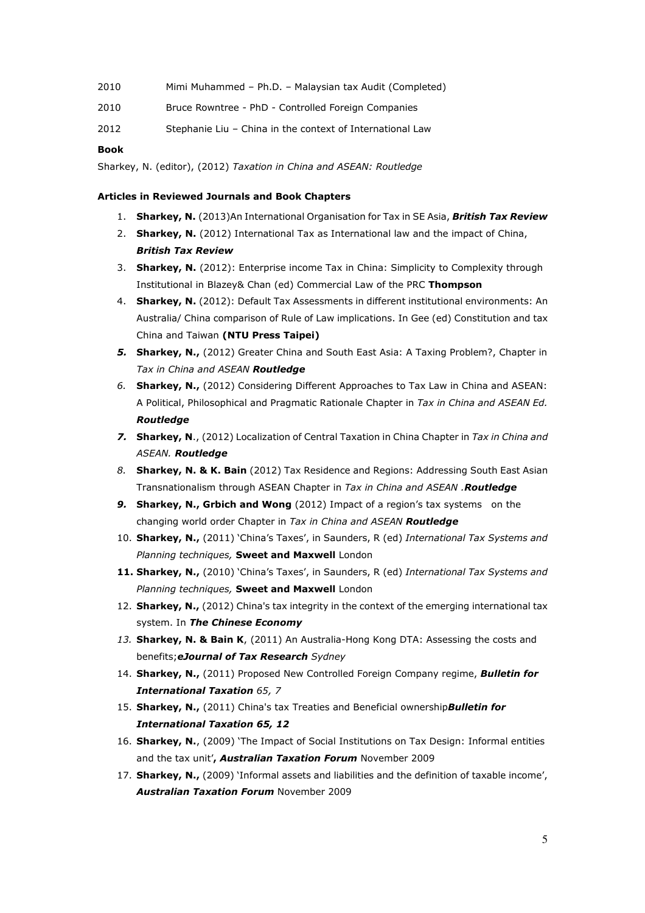| 2010 | Mimi Muhammed - Ph.D. - Malaysian tax Audit (Completed) |
|------|---------------------------------------------------------|
| 2010 | Bruce Rowntree - PhD - Controlled Foreign Companies     |

2012 Stephanie Liu – China in the context of International Law

# **Book**

Sharkey, N. (editor), (2012) *Taxation in China and ASEAN: Routledge*

# **Articles in Reviewed Journals and Book Chapters**

- 1. **Sharkey, N.** (2013)An International Organisation for Tax in SE Asia, *British Tax Review*
- 2. **Sharkey, N.** (2012) International Tax as International law and the impact of China, *British Tax Review*
- 3. **Sharkey, N.** (2012): Enterprise income Tax in China: Simplicity to Complexity through Institutional in Blazey& Chan (ed) Commercial Law of the PRC **Thompson**
- 4. **Sharkey, N.** (2012): Default Tax Assessments in different institutional environments: An Australia/ China comparison of Rule of Law implications. In Gee (ed) Constitution and tax China and Taiwan **(NTU Press Taipei)**
- *5.* **Sharkey, N.,** (2012) Greater China and South East Asia: A Taxing Problem?, Chapter in *Tax in China and ASEAN Routledge*
- *6.* **Sharkey, N.,** (2012) Considering Different Approaches to Tax Law in China and ASEAN: A Political, Philosophical and Pragmatic Rationale Chapter in *Tax in China and ASEAN Ed. Routledge*
- *7.* **Sharkey, N**., (2012) Localization of Central Taxation in China Chapter in *Tax in China and ASEAN. Routledge*
- *8.* **Sharkey, N. & K. Bain** (2012) Tax Residence and Regions: Addressing South East Asian Transnationalism through ASEAN Chapter in *Tax in China and ASEAN .Routledge*
- *9.* **Sharkey, N., Grbich and Wong** (2012) Impact of a region's tax systems on the changing world order Chapter in *Tax in China and ASEAN Routledge*
- 10. **Sharkey, N.,** (2011) 'China's Taxes', in Saunders, R (ed) *International Tax Systems and Planning techniques,* **Sweet and Maxwell** London
- **11. Sharkey, N.,** (2010) 'China's Taxes', in Saunders, R (ed) *International Tax Systems and Planning techniques,* **Sweet and Maxwell** London
- 12. **Sharkey, N.,** (2012) China's tax integrity in the context of the emerging international tax system. In *The Chinese Economy*
- *13.* **Sharkey, N. & Bain K**, (2011) An Australia-Hong Kong DTA: Assessing the costs and benefits;*eJournal of Tax Research Sydney*
- 14. **Sharkey, N.,** (2011) Proposed New Controlled Foreign Company regime, *Bulletin for International Taxation 65, 7*
- 15. **Sharkey, N.,** (2011) China's tax Treaties and Beneficial ownership*Bulletin for International Taxation 65, 12*
- 16. **Sharkey, N.**, (2009) 'The Impact of Social Institutions on Tax Design: Informal entities and the tax unit'**,** *Australian Taxation Forum* November 2009
- 17. **Sharkey, N.,** (2009) 'Informal assets and liabilities and the definition of taxable income', *Australian Taxation Forum* November 2009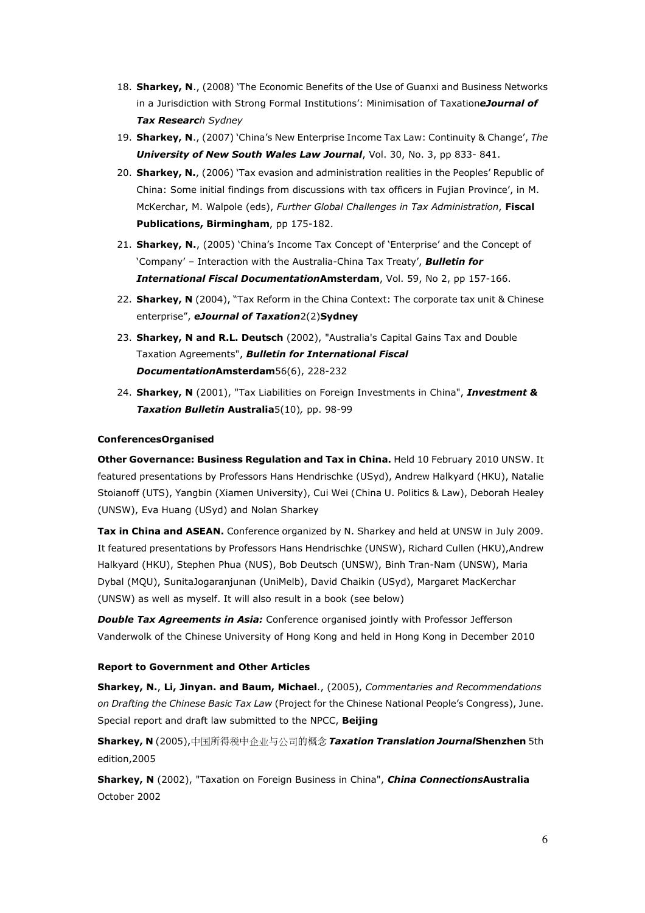- 18. **Sharkey, N**., (2008) 'The Economic Benefits of the Use of Guanxi and Business Networks in a Jurisdiction with Strong Formal Institutions': Minimisation of Taxation*eJournal of Tax Research Sydney*
- 19. **Sharkey, N**., (2007) 'China's New Enterprise Income Tax Law: Continuity & Change', *The University of New South Wales Law Journal*, Vol. 30, No. 3, pp 833- 841.
- 20. **Sharkey, N.**, (2006) 'Tax evasion and administration realities in the Peoples' Republic of China: Some initial findings from discussions with tax officers in Fujian Province', in M. McKerchar, M. Walpole (eds), *Further Global Challenges in Tax Administration*, **Fiscal Publications, Birmingham**, pp 175-182.
- 21. **Sharkey, N.**, (2005) 'China's Income Tax Concept of 'Enterprise' and the Concept of 'Company' – Interaction with the Australia-China Tax Treaty', *Bulletin for International Fiscal Documentation***Amsterdam**, Vol. 59, No 2, pp 157-166.
- 22. **Sharkey, N** (2004), "Tax Reform in the China Context: The corporate tax unit & Chinese enterprise", *eJournal of Taxation*2(2)**Sydney**
- 23. **Sharkey, N and R.L. Deutsch** (2002), "Australia's Capital Gains Tax and Double Taxation Agreements", *Bulletin for International Fiscal Documentation***Amsterdam**56(6), 228-232
- 24. **Sharkey, N** (2001), "Tax Liabilities on Foreign Investments in China", *Investment & Taxation Bulletin* **Australia**5(10)*,* pp. 98-99

# **ConferencesOrganised**

**Other Governance: Business Regulation and Tax in China.** Held 10 February 2010 UNSW. It featured presentations by Professors Hans Hendrischke (USyd), Andrew Halkyard (HKU), Natalie Stoianoff (UTS), Yangbin (Xiamen University), Cui Wei (China U. Politics & Law), Deborah Healey (UNSW), Eva Huang (USyd) and Nolan Sharkey

**Tax in China and ASEAN.** Conference organized by N. Sharkey and held at UNSW in July 2009. It featured presentations by Professors Hans Hendrischke (UNSW), Richard Cullen (HKU),Andrew Halkyard (HKU), Stephen Phua (NUS), Bob Deutsch (UNSW), Binh Tran-Nam (UNSW), Maria Dybal (MQU), SunitaJogaranjunan (UniMelb), David Chaikin (USyd), Margaret MacKerchar (UNSW) as well as myself. It will also result in a book (see below)

*Double Tax Agreements in Asia:* Conference organised jointly with Professor Jefferson Vanderwolk of the Chinese University of Hong Kong and held in Hong Kong in December 2010

#### **Report to Government and Other Articles**

**Sharkey, N.**, **Li, Jinyan. and Baum, Michael**., (2005), *Commentaries and Recommendations on Drafting the Chinese Basic Tax Law* (Project for the Chinese National People's Congress), June. Special report and draft law submitted to the NPCC, **Beijing**

**Sharkey, N** (2005),中国所得税中企业与公司的概念 *Taxation Translation Journal***Shenzhen** 5th edition,2005

**Sharkey, N** (2002), "Taxation on Foreign Business in China", *China Connections***Australia** October 2002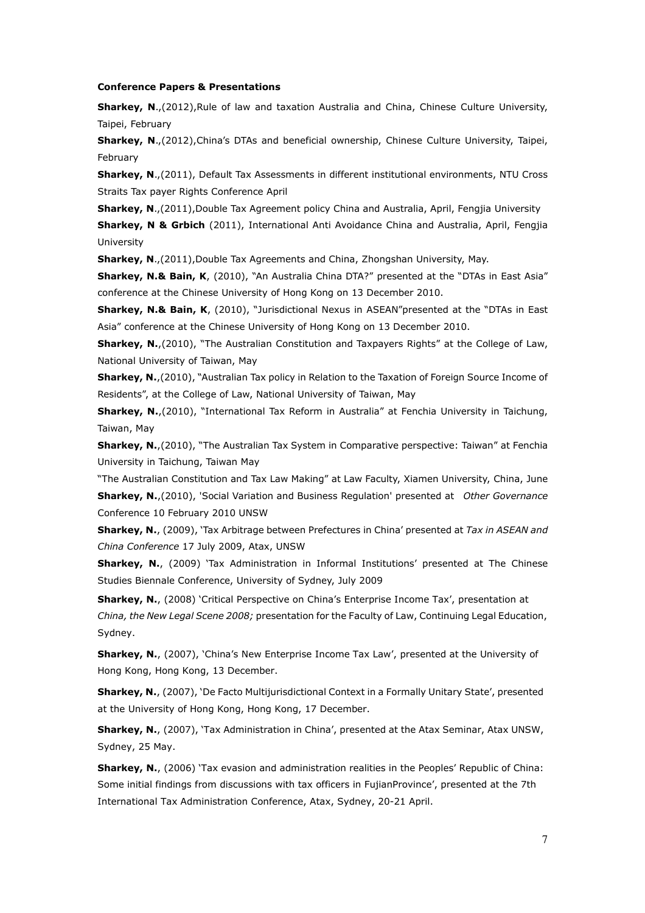#### **Conference Papers & Presentations**

**Sharkey, N.**,(2012),Rule of law and taxation Australia and China, Chinese Culture University, Taipei, February

**Sharkey, N**.,(2012),China's DTAs and beneficial ownership, Chinese Culture University, Taipei, February

**Sharkey, N.**,(2011), Default Tax Assessments in different institutional environments, NTU Cross Straits Tax payer Rights Conference April

**Sharkey, N.**,(2011),Double Tax Agreement policy China and Australia, April, Fengjia University

**Sharkey, N & Grbich** (2011), International Anti Avoidance China and Australia, April, Fengjia University

**Sharkey, N**.,(2011),Double Tax Agreements and China, Zhongshan University, May.

**Sharkey, N.& Bain, K**, (2010), "An Australia China DTA?" presented at the "DTAs in East Asia" conference at the Chinese University of Hong Kong on 13 December 2010.

**Sharkey, N.& Bain, K**, (2010), "Jurisdictional Nexus in ASEAN"presented at the "DTAs in East Asia" conference at the Chinese University of Hong Kong on 13 December 2010.

**Sharkey, N.**,(2010), "The Australian Constitution and Taxpayers Rights" at the College of Law, National University of Taiwan, May

**Sharkey, N.**,(2010), "Australian Tax policy in Relation to the Taxation of Foreign Source Income of Residents", at the College of Law, National University of Taiwan, May

**Sharkey, N.**,(2010), "International Tax Reform in Australia" at Fenchia University in Taichung, Taiwan, May

**Sharkey, N.**,(2010), "The Australian Tax System in Comparative perspective: Taiwan" at Fenchia University in Taichung, Taiwan May

"The Australian Constitution and Tax Law Making" at Law Faculty, Xiamen University, China, June **Sharkey, N.**,(2010), 'Social Variation and Business Regulation' presented at *Other Governance* Conference 10 February 2010 UNSW

**Sharkey, N.**, (2009), 'Tax Arbitrage between Prefectures in China' presented at *Tax in ASEAN and China Conference* 17 July 2009, Atax, UNSW

**Sharkey, N.**, (2009) 'Tax Administration in Informal Institutions' presented at The Chinese Studies Biennale Conference, University of Sydney, July 2009

**Sharkey, N.**, (2008) 'Critical Perspective on China's Enterprise Income Tax', presentation at *China, the New Legal Scene 2008;* presentation for the Faculty of Law, Continuing Legal Education, Sydney.

**Sharkey, N.**, (2007), 'China's New Enterprise Income Tax Law', presented at the University of Hong Kong, Hong Kong, 13 December.

**Sharkey, N.**, (2007), 'De Facto Multijurisdictional Context in a Formally Unitary State', presented at the University of Hong Kong, Hong Kong, 17 December.

**Sharkey, N.**, (2007), 'Tax Administration in China', presented at the Atax Seminar, Atax UNSW, Sydney, 25 May.

**Sharkey, N.**, (2006) 'Tax evasion and administration realities in the Peoples' Republic of China: Some initial findings from discussions with tax officers in FujianProvince', presented at the 7th International Tax Administration Conference, Atax, Sydney, 20-21 April.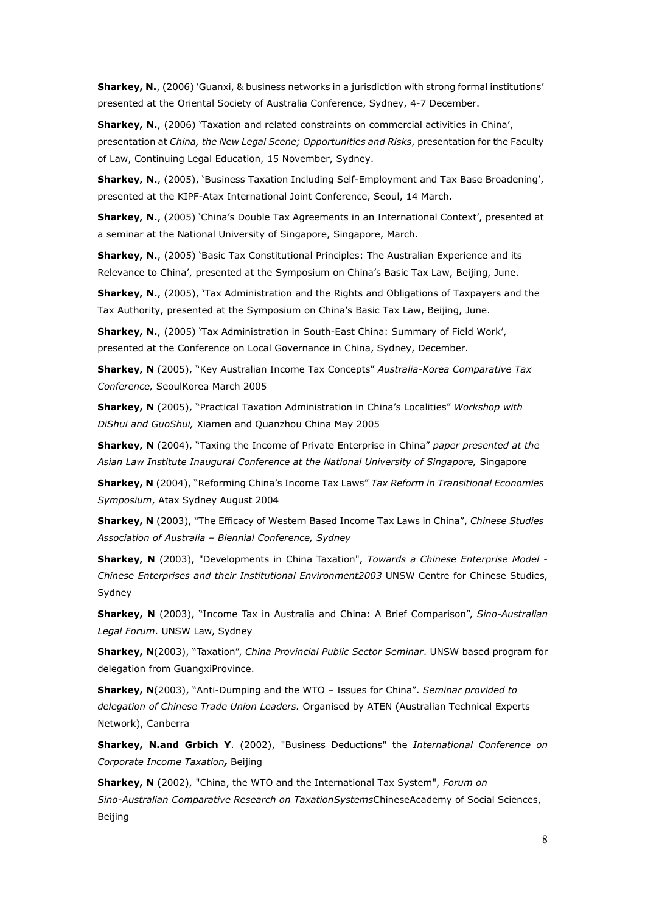**Sharkey, N.**, (2006) 'Guanxi, & business networks in a jurisdiction with strong formal institutions' presented at the Oriental Society of Australia Conference, Sydney, 4-7 December.

**Sharkey, N.**, (2006) 'Taxation and related constraints on commercial activities in China', presentation at *China, the New Legal Scene; Opportunities and Risks*, presentation for the Faculty of Law, Continuing Legal Education, 15 November, Sydney.

**Sharkey, N.**, (2005), 'Business Taxation Including Self-Employment and Tax Base Broadening', presented at the KIPF-Atax International Joint Conference, Seoul, 14 March.

**Sharkey, N.**, (2005) 'China's Double Tax Agreements in an International Context', presented at a seminar at the National University of Singapore, Singapore, March.

**Sharkey, N.**, (2005) 'Basic Tax Constitutional Principles: The Australian Experience and its Relevance to China', presented at the Symposium on China's Basic Tax Law, Beijing, June.

**Sharkey, N.**, (2005), 'Tax Administration and the Rights and Obligations of Taxpayers and the Tax Authority, presented at the Symposium on China's Basic Tax Law, Beijing, June.

**Sharkey, N.**, (2005) 'Tax Administration in South-East China: Summary of Field Work', presented at the Conference on Local Governance in China, Sydney, December.

**Sharkey, N** (2005), "Key Australian Income Tax Concepts" *Australia-Korea Comparative Tax Conference,* SeoulKorea March 2005

**Sharkey, N** (2005), "Practical Taxation Administration in China's Localities" *Workshop with DiShui and GuoShui,* Xiamen and Quanzhou China May 2005

**Sharkey, N** (2004), "Taxing the Income of Private Enterprise in China" *paper presented at the Asian Law Institute Inaugural Conference at the National University of Singapore,* Singapore

**Sharkey, N** (2004), "Reforming China's Income Tax Laws" *Tax Reform in Transitional Economies Symposium*, Atax Sydney August 2004

**Sharkey, N** (2003), "The Efficacy of Western Based Income Tax Laws in China", *Chinese Studies Association of Australia – Biennial Conference, Sydney*

**Sharkey, N** (2003), "Developments in China Taxation", *Towards a Chinese Enterprise Model - Chinese Enterprises and their Institutional Environment2003* UNSW Centre for Chinese Studies, Sydney

**Sharkey, N** (2003), "Income Tax in Australia and China: A Brief Comparison", *Sino-Australian Legal Forum*. UNSW Law, Sydney

**Sharkey, N**(2003), "Taxation", *China Provincial Public Sector Seminar*. UNSW based program for delegation from GuangxiProvince.

**Sharkey, N**(2003), "Anti-Dumping and the WTO – Issues for China". *Seminar provided to delegation of Chinese Trade Union Leaders.* Organised by ATEN (Australian Technical Experts Network), Canberra

**Sharkey, N.and Grbich Y**. (2002), "Business Deductions" the *International Conference on Corporate Income Taxation,* Beijing

**Sharkey, N** (2002), "China, the WTO and the International Tax System", *Forum on Sino-Australian Comparative Research on TaxationSystems*ChineseAcademy of Social Sciences, **Beijing**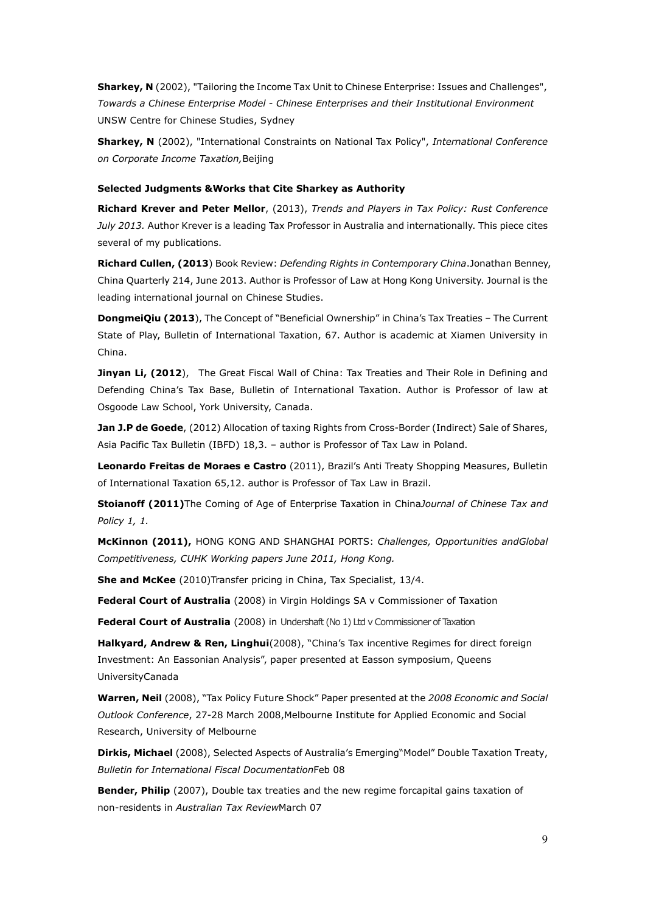**Sharkey, N** (2002), "Tailoring the Income Tax Unit to Chinese Enterprise: Issues and Challenges", *Towards a Chinese Enterprise Model - Chinese Enterprises and their Institutional Environment* UNSW Centre for Chinese Studies, Sydney

**Sharkey, N** (2002), "International Constraints on National Tax Policy", *International Conference on Corporate Income Taxation,*Beijing

#### **Selected Judgments &Works that Cite Sharkey as Authority**

**Richard Krever and Peter Mellor**, (2013), *Trends and Players in Tax Policy: Rust Conference July 2013.* Author Krever is a leading Tax Professor in Australia and internationally. This piece cites several of my publications.

**Richard Cullen, (2013**) Book Review: *Defending Rights in Contemporary China*.Jonathan Benney, China Quarterly 214, June 2013. Author is Professor of Law at Hong Kong University. Journal is the leading international journal on Chinese Studies.

**DongmeiQiu (2013**), The Concept of "Beneficial Ownership" in China's Tax Treaties - The Current State of Play, Bulletin of International Taxation, 67. Author is academic at Xiamen University in China.

**Jinyan Li, (2012**), The Great Fiscal Wall of China: Tax Treaties and Their Role in Defining and Defending China's Tax Base, Bulletin of International Taxation. Author is Professor of law at Osgoode Law School, York University, Canada.

**Jan J.P de Goede**, (2012) Allocation of taxing Rights from Cross-Border (Indirect) Sale of Shares, Asia Pacific Tax Bulletin (IBFD) 18,3. – author is Professor of Tax Law in Poland.

**Leonardo Freitas de Moraes e Castro** (2011), Brazil's Anti Treaty Shopping Measures, Bulletin of International Taxation 65,12. author is Professor of Tax Law in Brazil.

**Stoianoff (2011)**The Coming of Age of Enterprise Taxation in China*Journal of Chinese Tax and Policy 1, 1.*

**McKinnon (2011),** HONG KONG AND SHANGHAI PORTS: *Challenges, Opportunities andGlobal Competitiveness, CUHK Working papers June 2011, Hong Kong.*

**She and McKee** (2010)Transfer pricing in China, Tax Specialist, 13/4.

**Federal Court of Australia** (2008) in Virgin Holdings SA v Commissioner of Taxation

**Federal Court of Australia** (2008) in Undershaft (No 1) Ltd v Commissioner of Taxation

**Halkyard, Andrew & Ren, Linghui**(2008), "China's Tax incentive Regimes for direct foreign Investment: An Eassonian Analysis", paper presented at Easson symposium, Queens UniversityCanada

**Warren, Neil** (2008), "Tax Policy Future Shock" Paper presented at the *2008 Economic and Social Outlook Conference*, 27-28 March 2008,Melbourne Institute for Applied Economic and Social Research, University of Melbourne

**Dirkis, Michael** (2008), Selected Aspects of Australia's Emerging"Model" Double Taxation Treaty, *Bulletin for International Fiscal Documentation*Feb 08

**Bender, Philip** (2007), Double tax treaties and the new regime forcapital gains taxation of non-residents in *Australian Tax Review*March 07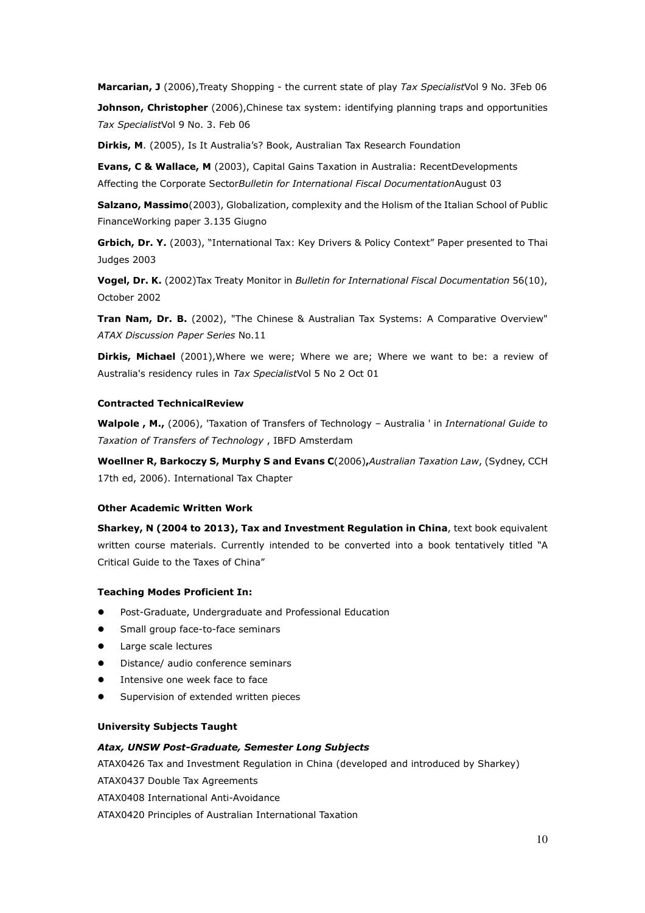**Marcarian, J** (2006),Treaty Shopping - the current state of play *Tax Specialist*Vol 9 No. 3Feb 06

**Johnson, Christopher** (2006), Chinese tax system: identifying planning traps and opportunities *Tax Specialist*Vol 9 No. 3. Feb 06

**Dirkis, M**. (2005), Is It Australia's? Book, Australian Tax Research Foundation

**Evans, C & Wallace, M** (2003), Capital Gains Taxation in Australia: RecentDevelopments Affecting the Corporate Sector*Bulletin for International Fiscal Documentation*August 03

**Salzano, Massimo**(2003), Globalization, complexity and the Holism of the Italian School of Public FinanceWorking paper 3.135 Giugno

**Grbich, Dr. Y.** (2003), "International Tax: Key Drivers & Policy Context" Paper presented to Thai Judges 2003

**Vogel, Dr. K.** (2002)Tax Treaty Monitor in *Bulletin for International Fiscal Documentation* 56(10), October 2002

**Tran Nam, Dr. B.** (2002), "The Chinese & Australian Tax Systems: A Comparative Overview" *ATAX Discussion Paper Series* No.11

**Dirkis, Michael** (2001),Where we were; Where we are; Where we want to be: a review of Australia's residency rules in *Tax Specialist*Vol 5 No 2 Oct 01

# **Contracted TechnicalReview**

**Walpole , M.,** (2006), 'Taxation of Transfers of Technology – Australia ' in *International Guide to Taxation of Transfers of Technology* , IBFD Amsterdam

**Woellner R, Barkoczy S, Murphy S and Evans C**(2006)**,***Australian Taxation Law*, (Sydney, CCH 17th ed, 2006). International Tax Chapter

#### **Other Academic Written Work**

**Sharkey, N (2004 to 2013), Tax and Investment Regulation in China**, text book equivalent written course materials. Currently intended to be converted into a book tentatively titled "A Critical Guide to the Taxes of China"

#### **Teaching Modes Proficient In:**

- Post-Graduate, Undergraduate and Professional Education
- Small group face-to-face seminars
- Large scale lectures
- Distance/ audio conference seminars
- Intensive one week face to face
- Supervision of extended written pieces

#### **University Subjects Taught**

#### *Atax, UNSW Post-Graduate, Semester Long Subjects*

ATAX0426 Tax and Investment Regulation in China (developed and introduced by Sharkey)

ATAX0437 Double Tax Agreements

ATAX0408 International Anti-Avoidance

ATAX0420 Principles of Australian International Taxation